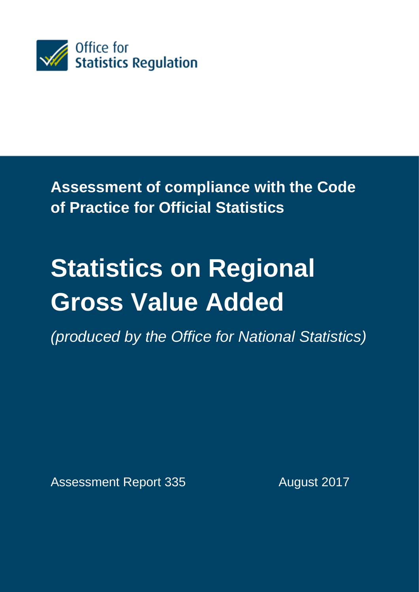

**Assessment of compliance with the Code of Practice for Official Statistics** 

# **Statistics on Regional Gross Value Added**

*(produced by the Office for National Statistics)*

Assessment Report 335 August 2017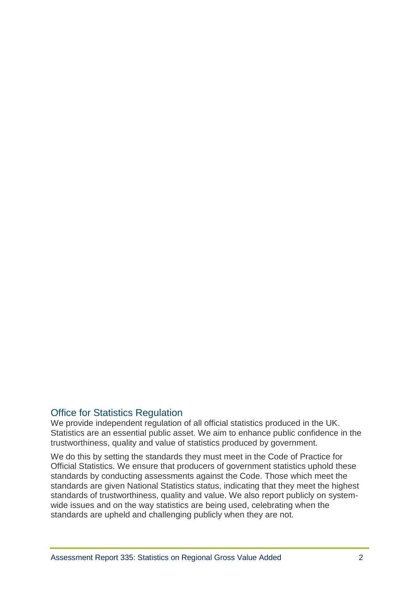# Office for Statistics Regulation

We provide independent regulation of all official statistics produced in the UK. Statistics are an essential public asset. We aim to enhance public confidence in the trustworthiness, quality and value of statistics produced by government.

We do this by setting the standards they must meet in the Code of Practice for Official Statistics. We ensure that producers of government statistics uphold these standards by conducting assessments against the Code. Those which meet the standards are given National Statistics status, indicating that they meet the highest standards of trustworthiness, quality and value. We also report publicly on systemwide issues and on the way statistics are being used, celebrating when the standards are upheld and challenging publicly when they are not.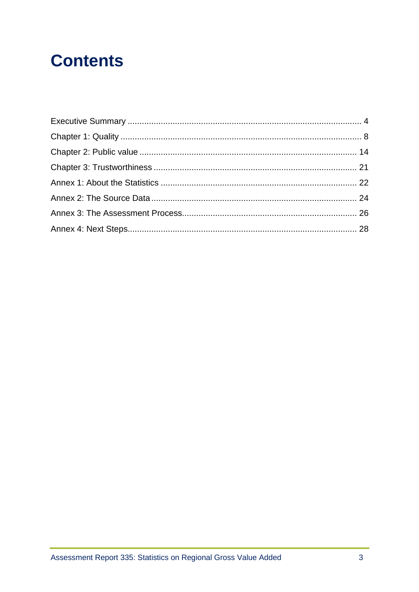# **Contents**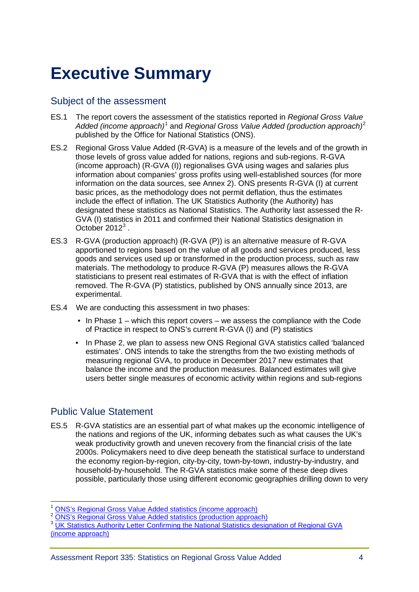# <span id="page-3-0"></span>**Executive Summary**

### Subject of the assessment

- ES.1 The report covers the assessment of the statistics reported in *Regional Gross Value Added (income approach)*[1](#page-3-1) and *Regional Gross Value Added (production approach)*[2](#page-3-2) published by the Office for National Statistics (ONS).
- ES.2 Regional Gross Value Added (R-GVA) is a measure of the levels and of the growth in those levels of gross value added for nations, regions and sub-regions. R-GVA (income approach) (R-GVA (I)) regionalises GVA using wages and salaries plus information about companies' gross profits using well-established sources (for more information on the data sources, see Annex 2). ONS presents R-GVA (I) at current basic prices, as the methodology does not permit deflation, thus the estimates include the effect of inflation. The UK Statistics Authority (the Authority) has designated these statistics as National Statistics. The Authority last assessed the R-GVA (I) statistics in 2011 and confirmed their National Statistics designation in October 2012<sup>[3](#page-3-3)</sup>.
- ES.3 R-GVA (production approach) (R-GVA (P)) is an alternative measure of R-GVA apportioned to regions based on the value of all goods and services produced, less goods and services used up or transformed in the production process, such as raw materials. The methodology to produce R-GVA (P) measures allows the R-GVA statisticians to present real estimates of R-GVA that is with the effect of inflation removed. The R-GVA (P) statistics, published by ONS annually since 2013, are experimental.
- ES.4 We are conducting this assessment in two phases:
	- In Phase 1 which this report covers we assess the compliance with the Code of Practice in respect to ONS's current R-GVA (I) and (P) statistics
	- In Phase 2, we plan to assess new ONS Regional GVA statistics called 'balanced estimates'. ONS intends to take the strengths from the two existing methods of measuring regional GVA, to produce in December 2017 new estimates that balance the income and the production measures. Balanced estimates will give users better single measures of economic activity within regions and sub-regions

# Public Value Statement

ES.5 R-GVA statistics are an essential part of what makes up the economic intelligence of the nations and regions of the UK, informing debates such as what causes the UK's weak productivity growth and uneven recovery from the financial crisis of the late 2000s. Policymakers need to dive deep beneath the statistical surface to understand the economy region-by-region, city-by-city, town-by-town, industry-by-industry, and household-by-household. The R-GVA statistics make some of these deep dives possible, particularly those using different economic geographies drilling down to very

- 
- <span id="page-3-3"></span><span id="page-3-2"></span><sup>3</sup> UK Statistics Authority Letter Confirming the National Statistics designation of Regional GVA [\(income approach\)](https://www.statisticsauthority.gov.uk/wp-content/uploads/2015/12/images-letterofconfirmationasnationalstatisticsassessmentreport14_tcm97-42148.pdf)

<span id="page-3-1"></span><sup>&</sup>lt;sup>1</sup> [ONS's Regional Gross Value Added statistics \(income approach\)](https://www.ons.gov.uk/economy/grossvalueaddedgva/bulletins/regionalgrossvalueaddedincomeapproach/december2016)<br><sup>2</sup> [ONS's Regional Gross Value Added statistics \(production approach\)](https://www.ons.gov.uk/economy/grossvalueaddedgva/bulletins/regionalgrossvalueaddedproductionapproach/1998to2014)  $\overline{a}$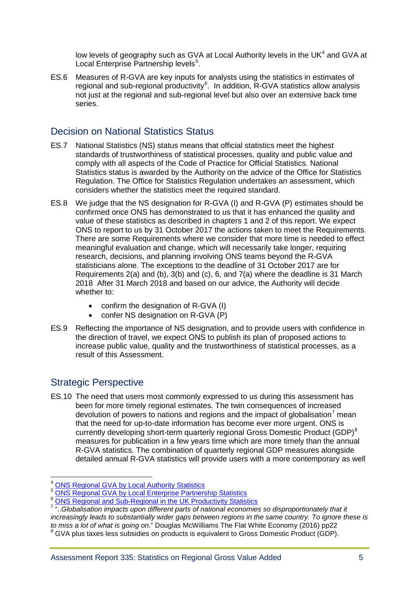low levels of geography such as GVA at Local Authority levels in the UK $4$  and GVA at Local Enterprise Partnership levels<sup>[5](#page-4-1)</sup>.

ES.6 Measures of R-GVA are key inputs for analysts using the statistics in estimates of regional and sub-regional productivity $6$ . In addition, R-GVA statistics allow analysis not just at the regional and sub-regional level but also over an extensive back time series.

### Decision on National Statistics Status

- ES.7 National Statistics (NS) status means that official statistics meet the highest standards of trustworthiness of statistical processes, quality and public value and comply with all aspects of the Code of Practice for Official Statistics. National Statistics status is awarded by the Authority on the advice of the Office for Statistics Regulation. The Office for Statistics Regulation undertakes an assessment, which considers whether the statistics meet the required standard.
- ES.8 We judge that the NS designation for R-GVA (I) and R-GVA (P) estimates should be confirmed once ONS has demonstrated to us that it has enhanced the quality and value of these statistics as described in chapters 1 and 2 of this report. We expect ONS to report to us by 31 October 2017 the actions taken to meet the Requirements. There are some Requirements where we consider that more time is needed to effect meaningful evaluation and change, which will necessarily take longer, requiring research, decisions, and planning involving ONS teams beyond the R-GVA statisticians alone. The exceptions to the deadline of 31 October 2017 are for Requirements 2(a) and (b), 3(b) and (c), 6, and 7(a) where the deadline is 31 March 2018 After 31 March 2018 and based on our advice, the Authority will decide whether to:
	- confirm the designation of R-GVA (I)
	- confer NS designation on R-GVA (P)
- ES.9 Reflecting the importance of NS designation, and to provide users with confidence in the direction of travel, we expect ONS to publish its plan of proposed actions to increase public value, quality and the trustworthiness of statistical processes, as a result of this Assessment.

# Strategic Perspective

ES.10 The need that users most commonly expressed to us during this assessment has been for more timely regional estimates. The twin consequences of increased devolution of powers to nations and regions and the impact of globalisation<sup>[7](#page-4-3)</sup> mean that the need for up-to-date information has become ever more urgent. ONS is currently developing short-term quarterly regional Gross Domestic Product (GDP)<sup>[8](#page-4-4)</sup> measures for publication in a few years time which are more timely than the annual R-GVA statistics. The combination of quarterly regional GDP measures alongside detailed annual R-GVA statistics will provide users with a more contemporary as well

<sup>&</sup>lt;sup>4</sup> ONS Regional GVA by Local Authority Statistics

<span id="page-4-1"></span><span id="page-4-0"></span><sup>6</sup> [ONS Regional GVA by Local Authority Statistics](https://www.ons.gov.uk/economy/grossvalueaddedgva/datasets/regionalgvaibylocalauthorityintheuk) 6 [ONS Regional GVA by Local Enterprise Partnership Statistics](https://www.ons.gov.uk/economy/grossvalueaddedgva/articles/gvaforlocalenterprisepartnerships/1997to2015) 6 ONS Regional and Sub-Regional in the UK Productivity Statistics

<span id="page-4-4"></span><span id="page-4-3"></span><span id="page-4-2"></span><sup>&</sup>lt;sup>7</sup> "...Globalisation impacts upon different parts of national economies so disproportionately that it *increasingly leads to substantially wider gaps between regions in the same country. To ignore these is to miss a lot of what is going on.*" Douglas McWilliams The Flat White Economy (2016) pp22 to miss a lot of what is going on  $\sim$  Douglas McChilliams The Flat White Economy (CDP).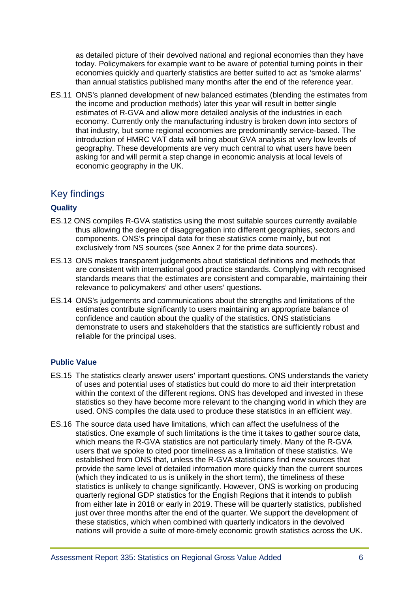as detailed picture of their devolved national and regional economies than they have today. Policymakers for example want to be aware of potential turning points in their economies quickly and quarterly statistics are better suited to act as 'smoke alarms' than annual statistics published many months after the end of the reference year.

ES.11 ONS's planned development of new balanced estimates (blending the estimates from the income and production methods) later this year will result in better single estimates of R-GVA and allow more detailed analysis of the industries in each economy. Currently only the manufacturing industry is broken down into sectors of that industry, but some regional economies are predominantly service-based. The introduction of HMRC VAT data will bring about GVA analysis at very low levels of geography. These developments are very much central to what users have been asking for and will permit a step change in economic analysis at local levels of economic geography in the UK.

# Key findings

#### **Quality**

- ES.12 ONS compiles R-GVA statistics using the most suitable sources currently available thus allowing the degree of disaggregation into different geographies, sectors and components. ONS's principal data for these statistics come mainly, but not exclusively from NS sources (see Annex 2 for the prime data sources).
- ES.13 ONS makes transparent judgements about statistical definitions and methods that are consistent with international good practice standards. Complying with recognised standards means that the estimates are consistent and comparable, maintaining their relevance to policymakers' and other users' questions.
- ES.14 ONS's judgements and communications about the strengths and limitations of the estimates contribute significantly to users maintaining an appropriate balance of confidence and caution about the quality of the statistics. ONS statisticians demonstrate to users and stakeholders that the statistics are sufficiently robust and reliable for the principal uses.

#### **Public Value**

- ES.15 The statistics clearly answer users' important questions. ONS understands the variety of uses and potential uses of statistics but could do more to aid their interpretation within the context of the different regions. ONS has developed and invested in these statistics so they have become more relevant to the changing world in which they are used. ONS compiles the data used to produce these statistics in an efficient way.
- ES.16 The source data used have limitations, which can affect the usefulness of the statistics. One example of such limitations is the time it takes to gather source data, which means the R-GVA statistics are not particularly timely. Many of the R-GVA users that we spoke to cited poor timeliness as a limitation of these statistics. We established from ONS that, unless the R-GVA statisticians find new sources that provide the same level of detailed information more quickly than the current sources (which they indicated to us is unlikely in the short term), the timeliness of these statistics is unlikely to change significantly. However, ONS is working on producing quarterly regional GDP statistics for the English Regions that it intends to publish from either late in 2018 or early in 2019. These will be quarterly statistics, published just over three months after the end of the quarter. We support the development of these statistics, which when combined with quarterly indicators in the devolved nations will provide a suite of more-timely economic growth statistics across the UK.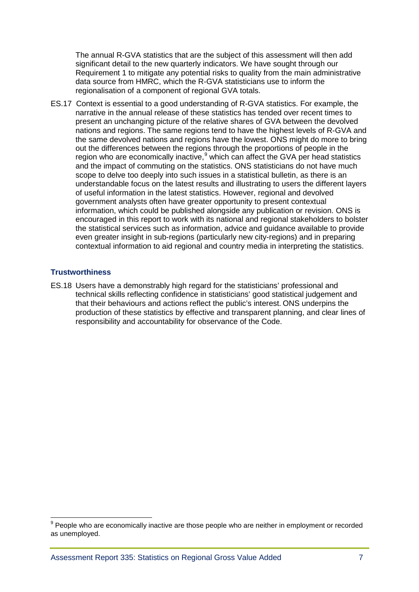The annual R-GVA statistics that are the subject of this assessment will then add significant detail to the new quarterly indicators. We have sought through our Requirement 1 to mitigate any potential risks to quality from the main administrative data source from HMRC, which the R-GVA statisticians use to inform the regionalisation of a component of regional GVA totals.

ES.17 Context is essential to a good understanding of R-GVA statistics. For example, the narrative in the annual release of these statistics has tended over recent times to present an unchanging picture of the relative shares of GVA between the devolved nations and regions. The same regions tend to have the highest levels of R-GVA and the same devolved nations and regions have the lowest. ONS might do more to bring out the differences between the regions through the proportions of people in the region who are economically inactive, $9$  which can affect the GVA per head statistics and the impact of commuting on the statistics. ONS statisticians do not have much scope to delve too deeply into such issues in a statistical bulletin, as there is an understandable focus on the latest results and illustrating to users the different layers of useful information in the latest statistics. However, regional and devolved government analysts often have greater opportunity to present contextual information, which could be published alongside any publication or revision. ONS is encouraged in this report to work with its national and regional stakeholders to bolster the statistical services such as information, advice and guidance available to provide even greater insight in sub-regions (particularly new city-regions) and in preparing contextual information to aid regional and country media in interpreting the statistics.

#### **Trustworthiness**

 $\overline{a}$ 

ES.18 Users have a demonstrably high regard for the statisticians' professional and technical skills reflecting confidence in statisticians' good statistical judgement and that their behaviours and actions reflect the public's interest. ONS underpins the production of these statistics by effective and transparent planning, and clear lines of responsibility and accountability for observance of the Code.

<span id="page-6-0"></span> $9$  People who are economically inactive are those people who are neither in employment or recorded as unemployed.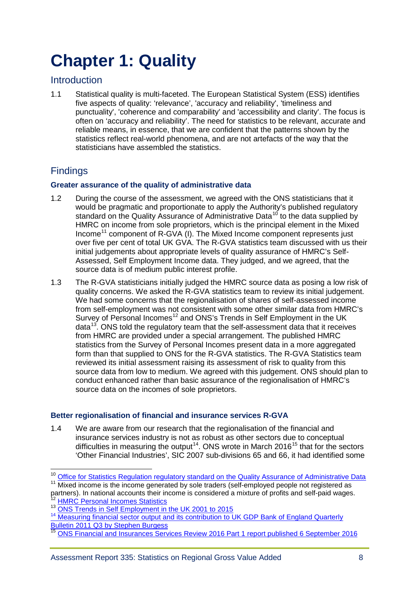# <span id="page-7-0"></span>**[Chapter 1: Quality](#page-20-0)**

# **Introduction**

1.1 Statistical quality is multi-faceted. The European Statistical System (ESS) identifies five aspects of quality: 'relevance', 'accuracy and reliability', 'timeliness and punctuality', 'coherence and comparability' and 'accessibility and clarity'. The focus is often on 'accuracy and reliability'. The need for statistics to be relevant, accurate and reliable means, in essence, that we are confident that the patterns shown by the statistics reflect real-world phenomena, and are not artefacts of the way that the statisticians have assembled the statistics.

# **Findings**

#### **Greater assurance of the quality of administrative data**

- 1.2 During the course of the assessment, we agreed with the ONS statisticians that it would be pragmatic and proportionate to apply the Authority's published regulatory standard on the Quality Assurance of Administrative Data<sup>[10](#page-7-1)</sup> to the data supplied by HMRC on income from sole proprietors, which is the principal element in the Mixed Income<sup>[11](#page-7-2)</sup> component of R-GVA (I). The Mixed Income component represents just over five per cent of total UK GVA. The R-GVA statistics team discussed with us their initial judgements about appropriate levels of quality assurance of HMRC's Self-Assessed, Self Employment Income data. They judged, and we agreed, that the source data is of medium public interest profile.
- 1.3 The R-GVA statisticians initially judged the HMRC source data as posing a low risk of quality concerns. We asked the R-GVA statistics team to review its initial judgement. We had some concerns that the regionalisation of shares of self-assessed income from self-employment was not consistent with some other similar data from HMRC's Survey of Personal Incomes<sup>[12](#page-7-3)</sup> and ONS's Trends in Self Employment in the UK data $13$ . ONS told the regulatory team that the self-assessment data that it receives from HMRC are provided under a special arrangement. The published HMRC statistics from the Survey of Personal Incomes present data in a more aggregated form than that supplied to ONS for the R-GVA statistics. The R-GVA Statistics team reviewed its initial assessment raising its assessment of risk to quality from this source data from low to medium. We agreed with this judgement. ONS should plan to conduct enhanced rather than basic assurance of the regionalisation of HMRC's source data on the incomes of sole proprietors.

#### **Better regionalisation of financial and insurance services R-GVA**

1.4 We are aware from our research that the regionalisation of the financial and insurance services industry is not as robust as other sectors due to conceptual difficulties in measuring the output<sup>[14](#page-7-5)</sup>. ONS wrote in March 2016<sup>[15](#page-7-6)</sup> that for the sectors 'Other Financial Industries', SIC 2007 sub-divisions 65 and 66, it had identified some

<sup>&</sup>lt;sup>10</sup> Office for Statistics Regulation regulatory standard on the Quality Assurance of Administrative Data

<span id="page-7-2"></span><span id="page-7-1"></span><sup>&</sup>lt;sup>11</sup> Mixed income is the income generated by sole traders (self-employed people not registered as partners). In national accounts their income is considered a mixture of profits and self-paid wages.

<span id="page-7-3"></span>

<span id="page-7-4"></span><sup>&</sup>lt;sup>13</sup> [ONS Trends in Self Employment in the UK 2001 to 2015](https://www.ons.gov.uk/employmentandlabourmarket/peopleinwork/employmentandemployeetypes/articles/trendsinselfemploymentintheuk/2001to2015)

<span id="page-7-5"></span><sup>&</sup>lt;sup>14</sup> [Measuring financial sector output and its contribution to UK GDP](http://www.bankofengland.co.uk/publications/Documents/quarterlybulletin/qb110304.pdf) Bank of England Quarterly [Bulletin 2011 Q3 by Stephen Burgess](http://www.bankofengland.co.uk/publications/Documents/quarterlybulletin/qb110304.pdf)

<span id="page-7-6"></span><sup>15</sup> [ONS Financial and Insurances Services Review 2016 Part 1 report published](https://www.ons.gov.uk/economy/grossdomesticproductgdp/methodologies/financialandinsuranceservicesindustryreview2016part1report) 6 September 2016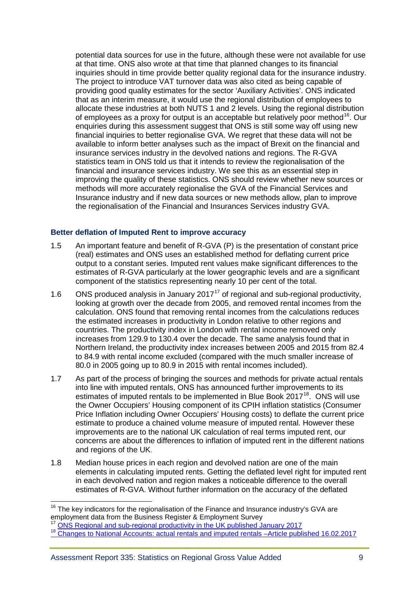potential data sources for use in the future, although these were not available for use at that time. ONS also wrote at that time that planned changes to its financial inquiries should in time provide better quality regional data for the insurance industry. The project to introduce VAT turnover data was also cited as being capable of providing good quality estimates for the sector 'Auxiliary Activities'. ONS indicated that as an interim measure, it would use the regional distribution of employees to allocate these industries at both NUTS 1 and 2 levels. Using the regional distribution of employees as a proxy for output is an acceptable but relatively poor method<sup>16</sup>. Our enquiries during this assessment suggest that ONS is still some way off using new financial inquiries to better regionalise GVA. We regret that these data will not be available to inform better analyses such as the impact of Brexit on the financial and insurance services industry in the devolved nations and regions. The R-GVA statistics team in ONS told us that it intends to review the regionalisation of the financial and insurance services industry. We see this as an essential step in improving the quality of these statistics. ONS should review whether new sources or methods will more accurately regionalise the GVA of the Financial Services and Insurance industry and if new data sources or new methods allow, plan to improve the regionalisation of the Financial and Insurances Services industry GVA.

#### **Better deflation of Imputed Rent to improve accuracy**

- 1.5 An important feature and benefit of R-GVA (P) is the presentation of constant price (real) estimates and ONS uses an established method for deflating current price output to a constant series. Imputed rent values make significant differences to the estimates of R-GVA particularly at the lower geographic levels and are a significant component of the statistics representing nearly 10 per cent of the total.
- 1.6 ONS produced analysis in January 20[17](#page-8-1)<sup>17</sup> of regional and sub-regional productivity, looking at growth over the decade from 2005, and removed rental incomes from the calculation. ONS found that removing rental incomes from the calculations reduces the estimated increases in productivity in London relative to other regions and countries. The productivity index in London with rental income removed only increases from 129.9 to 130.4 over the decade. The same analysis found that in Northern Ireland, the productivity index increases between 2005 and 2015 from 82.4 to 84.9 with rental income excluded (compared with the much smaller increase of 80.0 in 2005 going up to 80.9 in 2015 with rental incomes included).
- 1.7 As part of the process of bringing the sources and methods for private actual rentals into line with imputed rentals, ONS has announced further improvements to its estimates of imputed rentals to be implemented in Blue Book  $2017^{18}$  $2017^{18}$  $2017^{18}$ . ONS will use the Owner Occupiers' Housing component of its CPIH inflation statistics (Consumer Price Inflation including Owner Occupiers' Housing costs) to deflate the current price estimate to produce a chained volume measure of imputed rental. However these improvements are to the national UK calculation of real terms imputed rent, our concerns are about the differences to inflation of imputed rent in the different nations and regions of the UK.
- 1.8 Median house prices in each region and devolved nation are one of the main elements in calculating imputed rents. Getting the deflated level right for imputed rent in each devolved nation and region makes a noticeable difference to the overall estimates of R-GVA. Without further information on the accuracy of the deflated

 $\overline{a}$ 

<span id="page-8-0"></span> $16$  The key indicators for the regionalisation of the Finance and Insurance industry's GVA are employment data from the Business Register & Employment Survey<br><sup>17</sup> ONS Regional and sub-regional productivity in the UK published January 2017

<span id="page-8-1"></span>

<span id="page-8-2"></span><sup>&</sup>lt;sup>18</sup> [Changes to National Accounts: actual rentals and imputed rentals –Article published 16.02.2017](https://www.ons.gov.uk/economy/nationalaccounts/uksectoraccounts/articles/nationalaccountsarticles/actualandimputedrentalbluebook2017)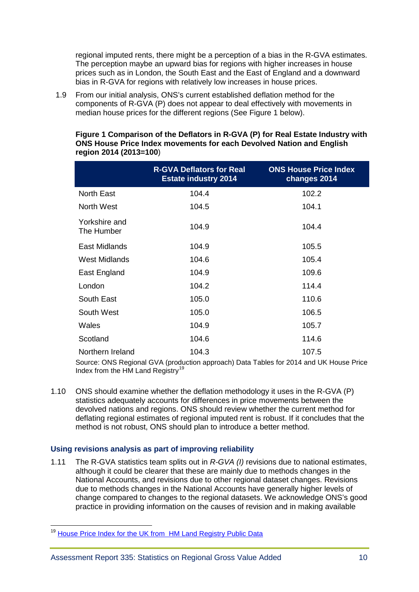regional imputed rents, there might be a perception of a bias in the R-GVA estimates. The perception maybe an upward bias for regions with higher increases in house prices such as in London, the South East and the East of England and a downward bias in R-GVA for regions with relatively low increases in house prices.

1.9 From our initial analysis, ONS's current established deflation method for the components of R-GVA (P) does not appear to deal effectively with movements in median house prices for the different regions (See Figure 1 below).

|                             | <b>R-GVA Deflators for Real</b><br><b>Estate industry 2014</b> | <b>ONS House Price Index</b><br>changes 2014 |
|-----------------------------|----------------------------------------------------------------|----------------------------------------------|
| <b>North East</b>           | 104.4                                                          | 102.2                                        |
| North West                  | 104.5                                                          | 104.1                                        |
| Yorkshire and<br>The Humber | 104.9                                                          | 104.4                                        |
| <b>East Midlands</b>        | 104.9                                                          | 105.5                                        |
| West Midlands               | 104.6                                                          | 105.4                                        |
| East England                | 104.9                                                          | 109.6                                        |
| London                      | 104.2                                                          | 114.4                                        |
| South East                  | 105.0                                                          | 110.6                                        |
| South West                  | 105.0                                                          | 106.5                                        |
| Wales                       | 104.9                                                          | 105.7                                        |
| Scotland                    | 104.6                                                          | 114.6                                        |
| Northern Ireland            | 104.3                                                          | 107.5                                        |

#### **Figure 1 Comparison of the Deflators in R-GVA (P) for Real Estate Industry with ONS House Price Index movements for each Devolved Nation and English region 2014 (2013=100**)

Source: ONS Regional GVA (production approach) Data Tables for 2014 and UK House Price Index from the HM Land Registry<sup>[19](#page-9-0)</sup>

1.10 ONS should examine whether the deflation methodology it uses in the R-GVA (P) statistics adequately accounts for differences in price movements between the devolved nations and regions. ONS should review whether the current method for deflating regional estimates of regional imputed rent is robust. If it concludes that the method is not robust, ONS should plan to introduce a better method.

#### **Using revisions analysis as part of improving reliability**

1.11 The R-GVA statistics team splits out in *R-GVA (I)* revisions due to national estimates, although it could be clearer that these are mainly due to methods changes in the National Accounts, and revisions due to other regional dataset changes. Revisions due to methods changes in the National Accounts have generally higher levels of change compared to changes to the regional datasets. We acknowledge ONS's good practice in providing information on the causes of revision and in making available

<span id="page-9-0"></span><sup>&</sup>lt;sup>19</sup> [House Price Index for the UK from HM Land Registry Public Data](http://landregistry.data.gov.uk/app/ukhpi/explore)  $\overline{a}$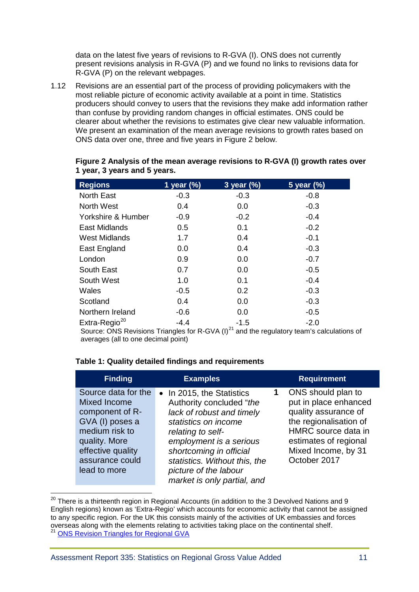data on the latest five years of revisions to R-GVA (I). ONS does not currently present revisions analysis in R-GVA (P) and we found no links to revisions data for R-GVA (P) on the relevant webpages.

1.12 Revisions are an essential part of the process of providing policymakers with the most reliable picture of economic activity available at a point in time. Statistics producers should convey to users that the revisions they make add information rather than confuse by providing random changes in official estimates. ONS could be clearer about whether the revisions to estimates give clear new valuable information. We present an examination of the mean average revisions to growth rates based on ONS data over one, three and five years in Figure 2 below.

| <b>Regions</b>            | 1 year $(\%)$ | 3 year (%) | 5 year (%) |  |
|---------------------------|---------------|------------|------------|--|
| North East                | $-0.3$        | $-0.3$     | $-0.8$     |  |
| <b>North West</b>         | 0.4           | 0.0        | $-0.3$     |  |
| Yorkshire & Humber        | $-0.9$        | $-0.2$     | $-0.4$     |  |
| East Midlands             | 0.5           | 0.1        | $-0.2$     |  |
| <b>West Midlands</b>      | 1.7           | 0.4        | $-0.1$     |  |
| East England              | 0.0           | 0.4        | $-0.3$     |  |
| London                    | 0.9           | 0.0        | $-0.7$     |  |
| South East                | 0.7           | 0.0        | $-0.5$     |  |
| South West                | 1.0           | 0.1        | $-0.4$     |  |
| Wales                     | $-0.5$        | 0.2        | $-0.3$     |  |
| Scotland                  | 0.4           | 0.0        | $-0.3$     |  |
| Northern Ireland          | $-0.6$        | 0.0        | $-0.5$     |  |
| Extra-Regio <sup>20</sup> | $-4.4$        | $-1.5$     | $-2.0$     |  |

#### **Figure 2 Analysis of the mean average revisions to R-GVA (I) growth rates over 1 year, 3 years and 5 years.**

Source: ONS Revisions Triangles for R-GVA (I) $^{21}$  $^{21}$  $^{21}$  and the regulatory team's calculations of averages (all to one decimal point)

#### **Table 1: Quality detailed findings and requirements**

| <b>Finding</b>                                                                                                                                                       | <b>Examples</b>                                                                                                                                                                                                                                                                | <b>Requirement</b>                                                                                                                                                                   |
|----------------------------------------------------------------------------------------------------------------------------------------------------------------------|--------------------------------------------------------------------------------------------------------------------------------------------------------------------------------------------------------------------------------------------------------------------------------|--------------------------------------------------------------------------------------------------------------------------------------------------------------------------------------|
| Source data for the<br>Mixed Income<br>component of R-<br>GVA (I) poses a<br>medium risk to<br>quality. More<br>effective quality<br>assurance could<br>lead to more | • In 2015, the Statistics<br>Authority concluded "the<br>lack of robust and timely<br>statistics on income<br>relating to self-<br>employment is a serious<br>shortcoming in official<br>statistics. Without this, the<br>picture of the labour<br>market is only partial, and | ONS should plan to<br>put in place enhanced<br>quality assurance of<br>the regionalisation of<br>HMRC source data in<br>estimates of regional<br>Mixed Income, by 31<br>October 2017 |

<span id="page-10-1"></span><span id="page-10-0"></span> $^{20}$  There is a thirteenth region in Regional Accounts (in addition to the 3 Devolved Nations and 9 English regions) known as 'Extra-Regio' which accounts for economic activity that cannot be assigned to any specific region. For the UK this consists mainly of the activities of UK embassies and forces overseas along with the elements relating to activities taking place on the continental shelf.<br><sup>21</sup> [ONS Revision Triangles for Regional GVA](https://www.ons.gov.uk/file?uri=/economy/grossvalueaddedgva/datasets/regionalgrossvalueaddedincomeapproach/current/gvarevisionstriangles.xls)  $\overline{a}$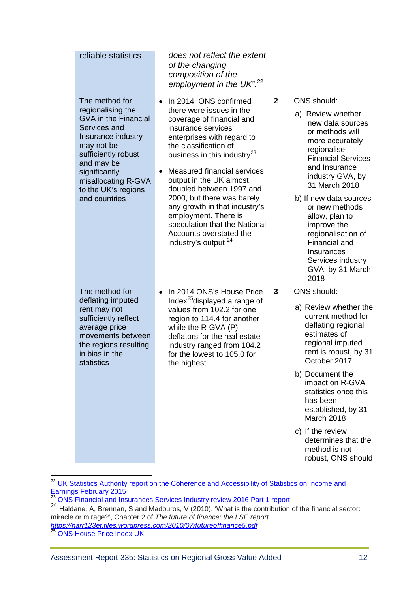| reliable statistics                                                                                                                                                                                                                         | does not reflect the extent<br>of the changing<br>composition of the<br>employment in the UK". <sup>22</sup>                                                                                                                                                                                                                                                                                                                                                                                    |              |                                                                                                                                                                                                                                                                                                                                                                                        |
|---------------------------------------------------------------------------------------------------------------------------------------------------------------------------------------------------------------------------------------------|-------------------------------------------------------------------------------------------------------------------------------------------------------------------------------------------------------------------------------------------------------------------------------------------------------------------------------------------------------------------------------------------------------------------------------------------------------------------------------------------------|--------------|----------------------------------------------------------------------------------------------------------------------------------------------------------------------------------------------------------------------------------------------------------------------------------------------------------------------------------------------------------------------------------------|
| The method for<br>regionalising the<br><b>GVA in the Financial</b><br>Services and<br>Insurance industry<br>may not be<br>sufficiently robust<br>and may be<br>significantly<br>misallocating R-GVA<br>to the UK's regions<br>and countries | In 2014, ONS confirmed<br>٠<br>there were issues in the<br>coverage of financial and<br>insurance services<br>enterprises with regard to<br>the classification of<br>business in this industry <sup>23</sup><br><b>Measured financial services</b><br>output in the UK almost<br>doubled between 1997 and<br>2000, but there was barely<br>any growth in that industry's<br>employment. There is<br>speculation that the National<br>Accounts overstated the<br>industry's output <sup>24</sup> | $\mathbf{2}$ | <b>ONS</b> should:<br>a) Review whether<br>new data sources<br>or methods will<br>more accurately<br>regionalise<br><b>Financial Services</b><br>and Insurance<br>industry GVA, by<br>31 March 2018<br>b) If new data sources<br>or new methods<br>allow, plan to<br>improve the<br>regionalisation of<br>Financial and<br>Insurances<br>Services industry<br>GVA, by 31 March<br>2018 |
| The method for                                                                                                                                                                                                                              | In 2014 ONS's House Price<br>$\bullet$                                                                                                                                                                                                                                                                                                                                                                                                                                                          | 3            | <b>ONS</b> should:                                                                                                                                                                                                                                                                                                                                                                     |
| deflating imputed<br>rent may not<br>sufficiently reflect<br>average price<br>movements between<br>the regions resulting<br>in bias in the<br>statistics<br>the highest                                                                     | Index <sup>25</sup> displayed a range of<br>values from 102.2 for one<br>region to 114.4 for another<br>while the R-GVA (P)<br>deflators for the real estate<br>industry ranged from 104.2<br>for the lowest to 105.0 for                                                                                                                                                                                                                                                                       |              | a) Review whether the<br>current method for<br>deflating regional<br>estimates of<br>regional imputed<br>rent is robust, by 31<br>October 2017                                                                                                                                                                                                                                         |
|                                                                                                                                                                                                                                             |                                                                                                                                                                                                                                                                                                                                                                                                                                                                                                 |              | b) Document the<br>impact on R-GVA<br>statistics once this<br>has been<br>established, by 31<br>March 2018                                                                                                                                                                                                                                                                             |
|                                                                                                                                                                                                                                             |                                                                                                                                                                                                                                                                                                                                                                                                                                                                                                 |              | c) If the review<br>determines that the<br>method is not                                                                                                                                                                                                                                                                                                                               |

 $\overline{a}$ 

robust, ONS should

<span id="page-11-0"></span><sup>&</sup>lt;sup>22</sup> UK Statistics Authority report on the Coherence and Accessibility of Statistics on Income and [Earnings February 2015](https://www.statisticsauthority.gov.uk/publication/the-coherence-and-accessibility-of-official-statistics-on-income-and-earnings/)<br>
<sup>23</sup> ONS Financial and Insurances Services Industry review 2016 Part 1 report

<span id="page-11-2"></span><span id="page-11-1"></span><sup>24</sup> Haldane, A, Brennan, S and Madouros, V (2010), 'What is the contribution of the financial sector: miracle or mirage?', Chapter 2 of *The future of finance: the LSE report <https://harr123et.files.wordpress.com/2010/07/futureoffinance5.pdf>*

<span id="page-11-3"></span><sup>&</sup>lt;sup>25</sup> [ONS House Price Index UK](https://www.ons.gov.uk/economy/inflationandpriceindices/bulletins/housepriceindex/apr2017)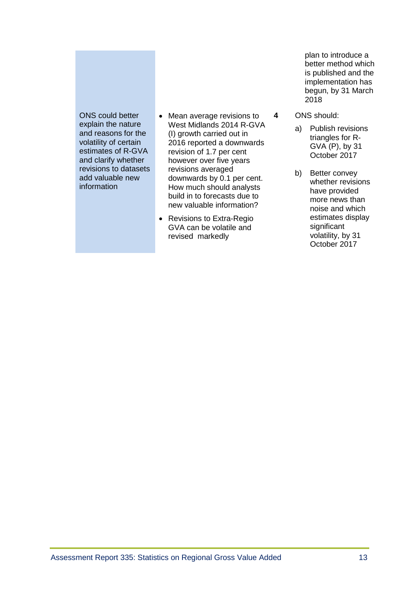ONS could better explain the nature and reasons for the volatility of certain estimates of R-GVA and clarify whether revisions to datasets add valuable new information

- Mean average revisions to West Midlands 2014 R-GVA (I) growth carried out in 2016 reported a downwards revision of 1.7 per cent however over five years revisions averaged downwards by 0.1 per cent. How much should analysts build in to forecasts due to new valuable information?
- Revisions to Extra-Regio GVA can be volatile and revised markedly

plan to introduce a better method which is published and the implementation has begun, by 31 March 2018

- **4** ONS should:
	- a) Publish revisions triangles for R-GVA (P), by 31 October 2017
	- b) Better convey whether revisions have provided more news than noise and which estimates display significant volatility, by 31 October 2017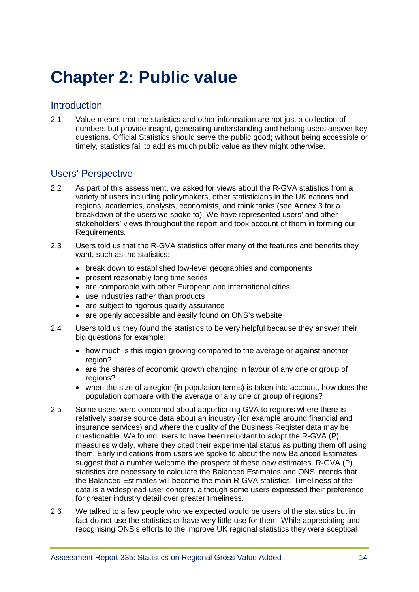# <span id="page-13-0"></span>**[Chapter 2: Public value](#page-7-0)**

### **Introduction**

2.1 Value means that the statistics and other information are not just a collection of numbers but provide insight, generating understanding and helping users answer key questions. Official Statistics should serve the public good; without being accessible or timely, statistics fail to add as much public value as they might otherwise.

# Users' Perspective

- 2.2 As part of this assessment, we asked for views about the R-GVA statistics from a variety of users including policymakers, other statisticians in the UK nations and regions, academics, analysts, economists, and think tanks (see Annex 3 for a breakdown of the users we spoke to). We have represented users' and other stakeholders' views throughout the report and took account of them in forming our Requirements.
- 2.3 Users told us that the R-GVA statistics offer many of the features and benefits they want, such as the statistics:
	- break down to established low-level geographies and components
	- present reasonably long time series
	- are comparable with other European and international cities
	- use industries rather than products
	- are subject to rigorous quality assurance
	- are openly accessible and easily found on ONS's website
- 2.4 Users told us they found the statistics to be very helpful because they answer their big questions for example:
	- how much is this region growing compared to the average or against another region?
	- are the shares of economic growth changing in favour of any one or group of regions?
	- when the size of a region (in population terms) is taken into account, how does the population compare with the average or any one or group of regions?
- 2.5 Some users were concerned about apportioning GVA to regions where there is relatively sparse source data about an industry (for example around financial and insurance services) and where the quality of the Business Register data may be questionable. We found users to have been reluctant to adopt the R-GVA (P) measures widely, where they cited their experimental status as putting them off using them. Early indications from users we spoke to about the new Balanced Estimates suggest that a number welcome the prospect of these new estimates. R-GVA (P) statistics are necessary to calculate the Balanced Estimates and ONS intends that the Balanced Estimates will become the main R-GVA statistics. Timeliness of the data is a widespread user concern, although some users expressed their preference for greater industry detail over greater timeliness.
- 2.6 We talked to a few people who we expected would be users of the statistics but in fact do not use the statistics or have very little use for them. While appreciating and recognising ONS's efforts to the improve UK regional statistics they were sceptical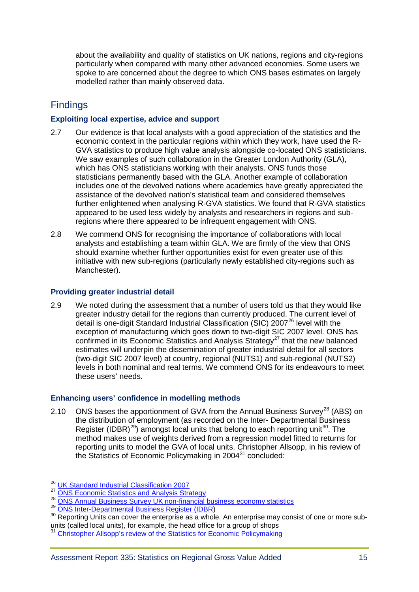about the availability and quality of statistics on UK nations, regions and city-regions particularly when compared with many other advanced economies. Some users we spoke to are concerned about the degree to which ONS bases estimates on largely modelled rather than mainly observed data.

# **Findings**

#### **Exploiting local expertise, advice and support**

- 2.7 Our evidence is that local analysts with a good appreciation of the statistics and the economic context in the particular regions within which they work, have used the R-GVA statistics to produce high value analysis alongside co-located ONS statisticians. We saw examples of such collaboration in the Greater London Authority (GLA), which has ONS statisticians working with their analysts. ONS funds those statisticians permanently based with the GLA. Another example of collaboration includes one of the devolved nations where academics have greatly appreciated the assistance of the devolved nation's statistical team and considered themselves further enlightened when analysing R-GVA statistics. We found that R-GVA statistics appeared to be used less widely by analysts and researchers in regions and subregions where there appeared to be infrequent engagement with ONS.
- 2.8 We commend ONS for recognising the importance of collaborations with local analysts and establishing a team within GLA. We are firmly of the view that ONS should examine whether further opportunities exist for even greater use of this initiative with new sub-regions (particularly newly established city-regions such as Manchester).

#### **Providing greater industrial detail**

2.9 We noted during the assessment that a number of users told us that they would like greater industry detail for the regions than currently produced. The current level of detail is one-digit Standard Industrial Classification (SIC)  $2007<sup>26</sup>$  $2007<sup>26</sup>$  $2007<sup>26</sup>$  level with the exception of manufacturing which goes down to two-digit SIC 2007 level. ONS has confirmed in its Economic Statistics and Analysis Strategy<sup>[27](#page-14-1)</sup> that the new balanced estimates will underpin the dissemination of greater industrial detail for all sectors (two-digit SIC 2007 level) at country, regional (NUTS1) and sub-regional (NUTS2) levels in both nominal and real terms. We commend ONS for its endeavours to meet these users' needs.

#### **Enhancing users' confidence in modelling methods**

2.10 ONS bases the apportionment of GVA from the Annual Business Survey<sup>[28](#page-14-2)</sup> (ABS) on the distribution of employment (as recorded on the Inter- Departmental Business Register (IDBR)<sup>[29](#page-14-3)</sup>) amongst local units that belong to each reporting unit<sup>[30](#page-14-4)</sup>. The method makes use of weights derived from a regression model fitted to returns for reporting units to model the GVA of local units. Christopher Allsopp, in his review of the Statistics of Economic Policymaking in  $2004<sup>31</sup>$  $2004<sup>31</sup>$  $2004<sup>31</sup>$  concluded:

<sup>&</sup>lt;sup>26</sup> [UK Standard Industrial Classification 2007](https://www.ons.gov.uk/methodology/classificationsandstandards/ukstandardindustrialclassificationofeconomicactivities/uksic2007)  $\overline{a}$ 

<span id="page-14-2"></span>

<span id="page-14-4"></span><span id="page-14-3"></span>

<span id="page-14-1"></span><span id="page-14-0"></span><sup>&</sup>lt;sup>27</sup> [ONS Economic Statistics and Analysis Strategy](https://www.ons.gov.uk/methodology/classificationsandstandards/economicstatisticsclassifications/economicstatisticsandanalysisstrategy)<br><sup>28</sup> [ONS Annual Business Survey UK non-financial business economy statistics](https://www.ons.gov.uk/businessindustryandtrade/business/businessservices/bulletins/uknonfinancialbusinesseconomy/2015revisedresults)<br><sup>29</sup> [ONS Inter-Departmental Business Register \(IDBR\)](https://www.ons.gov.uk/aboutus/whatwedo/paidservices/interdepartmentalbusinessregisteridbr)<br><sup>30</sup> Reporting Units can cover the enterp units (called local units), for example, the head office for a group of shops

<span id="page-14-5"></span><sup>&</sup>lt;sup>31</sup> [Christopher Allsopp's review of the Statistics for Economic Policymaking](http://webarchive.nationalarchives.gov.uk/+/http:/www.hm-treasury.gov.uk/media/8/8/allsopp_final_ch1to3_384.pdf)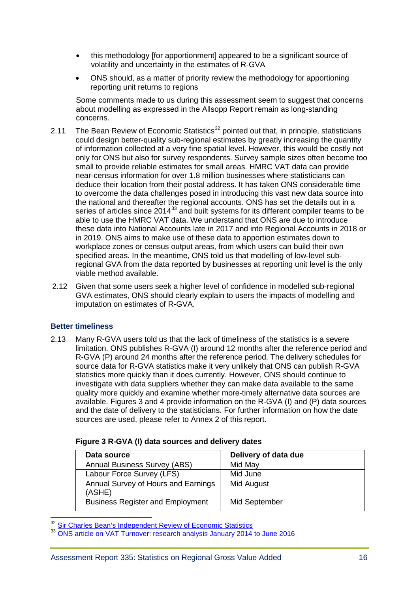- this methodology [for apportionment] appeared to be a significant source of volatility and uncertainty in the estimates of R-GVA
- ONS should, as a matter of priority review the methodology for apportioning reporting unit returns to regions

Some comments made to us during this assessment seem to suggest that concerns about modelling as expressed in the Allsopp Report remain as long-standing concerns.

- 2.11 The Bean Review of Economic Statistics<sup>[32](#page-15-0)</sup> pointed out that, in principle, statisticians could design better-quality sub-regional estimates by greatly increasing the quantity of information collected at a very fine spatial level. However, this would be costly not only for ONS but also for survey respondents. Survey sample sizes often become too small to provide reliable estimates for small areas. HMRC VAT data can provide near-census information for over 1.8 million businesses where statisticians can deduce their location from their postal address. It has taken ONS considerable time to overcome the data challenges posed in introducing this vast new data source into the national and thereafter the regional accounts. ONS has set the details out in a series of articles since  $2014^{33}$  $2014^{33}$  $2014^{33}$  and built systems for its different compiler teams to be able to use the HMRC VAT data. We understand that ONS are due to introduce these data into National Accounts late in 2017 and into Regional Accounts in 2018 or in 2019. ONS aims to make use of these data to apportion estimates down to workplace zones or census output areas, from which users can build their own specified areas. In the meantime, ONS told us that modelling of low-level subregional GVA from the data reported by businesses at reporting unit level is the only viable method available.
- 2.12 Given that some users seek a higher level of confidence in modelled sub-regional GVA estimates, ONS should clearly explain to users the impacts of modelling and imputation on estimates of R-GVA.

#### **Better timeliness**

2.13 Many R-GVA users told us that the lack of timeliness of the statistics is a severe limitation. ONS publishes R-GVA (I) around 12 months after the reference period and R-GVA (P) around 24 months after the reference period. The delivery schedules for source data for R-GVA statistics make it very unlikely that ONS can publish R-GVA statistics more quickly than it does currently. However, ONS should continue to investigate with data suppliers whether they can make data available to the same quality more quickly and examine whether more-timely alternative data sources are available. Figures 3 and 4 provide information on the R-GVA (I) and (P) data sources and the date of delivery to the statisticians. For further information on how the date sources are used, please refer to Annex 2 of this report.

| Data source                                   | Delivery of data due |
|-----------------------------------------------|----------------------|
| <b>Annual Business Survey (ABS)</b>           | Mid May              |
| Labour Force Survey (LFS)                     | Mid June             |
| Annual Survey of Hours and Earnings<br>(ASHE) | Mid August           |
| <b>Business Register and Employment</b>       | Mid September        |

| Figure 3 R-GVA (I) data sources and delivery dates |  |  |
|----------------------------------------------------|--|--|
|----------------------------------------------------|--|--|

<span id="page-15-0"></span><sup>32</sup> Sir Charles Bean's Independent Review of Economic Statistics

<span id="page-15-1"></span>[ONS article on VAT Turnover: research analysis January 2014 to June 2016](https://www.ons.gov.uk/economy/grossdomesticproductgdp/articles/vatturnoverinitialresearchanalysisuk/january2014tomarch2016)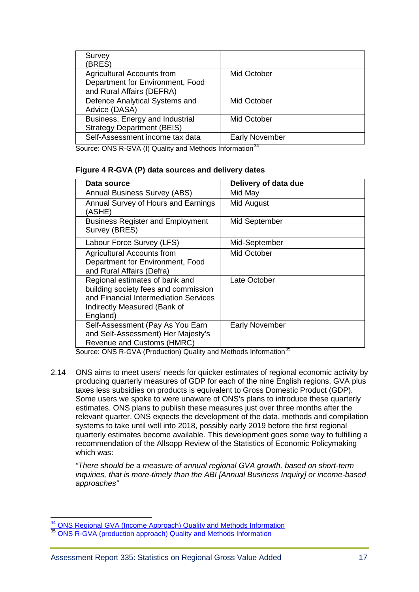| Survey<br>(BRES)                                                                                   |                             |
|----------------------------------------------------------------------------------------------------|-----------------------------|
| <b>Agricultural Accounts from</b><br>Department for Environment, Food<br>and Rural Affairs (DEFRA) | Mid October                 |
| Defence Analytical Systems and<br>Advice (DASA)                                                    | Mid October                 |
| Business, Energy and Industrial<br><b>Strategy Department (BEIS)</b>                               | Mid October                 |
| Self-Assessment income tax data                                                                    | <b>Early November</b><br>24 |

Source: ONS R-GVA (I) Quality and Methods Information<sup>[34](#page-16-0)</sup>

#### **Figure 4 R-GVA (P) data sources and delivery dates**

| Data source                                                                                                                                                 | Delivery of data due  |
|-------------------------------------------------------------------------------------------------------------------------------------------------------------|-----------------------|
| <b>Annual Business Survey (ABS)</b>                                                                                                                         | Mid May               |
| Annual Survey of Hours and Earnings<br>(ASHE)                                                                                                               | Mid August            |
| <b>Business Register and Employment</b><br>Survey (BRES)                                                                                                    | Mid September         |
| Labour Force Survey (LFS)                                                                                                                                   | Mid-September         |
| Agricultural Accounts from<br>Department for Environment, Food<br>and Rural Affairs (Defra)                                                                 | Mid October           |
| Regional estimates of bank and<br>building society fees and commission<br>and Financial Intermediation Services<br>Indirectly Measured (Bank of<br>England) | Late October          |
| Self-Assessment (Pay As You Earn<br>and Self-Assessment) Her Majesty's<br>Revenue and Customs (HMRC)                                                        | <b>Early November</b> |

Source: ONS R-GVA (Production) Quality and Methods Information<sup>[35](#page-16-1)</sup>

2.14 ONS aims to meet users' needs for quicker estimates of regional economic activity by producing quarterly measures of GDP for each of the nine English regions, GVA plus taxes less subsidies on products is equivalent to Gross Domestic Product (GDP). Some users we spoke to were unaware of ONS's plans to introduce these quarterly estimates. ONS plans to publish these measures just over three months after the relevant quarter. ONS expects the development of the data, methods and compilation systems to take until well into 2018, possibly early 2019 before the first regional quarterly estimates become available. This development goes some way to fulfilling a recommendation of the Allsopp Review of the Statistics of Economic Policymaking which was:

*"There should be a measure of annual regional GVA growth, based on short-term inquiries, that is more-timely than the ABI [Annual Business Inquiry] or income-based approaches"*

 $\overline{a}$ 

<span id="page-16-0"></span><sup>&</sup>lt;sup>34</sup> [ONS Regional GVA \(Income Approach\) Quality and Methods Information](https://www.ons.gov.uk/economy/grossvalueaddedgva/qmis/regionalgrossvalueaddedincomeapproachqmi)

<span id="page-16-1"></span>**[ONS R-GVA \(production approach\) Quality and Methods Information](https://www.ons.gov.uk/economy/grossvalueaddedgva/qmis/regionalgrossvalueaddedproductionapproachqmi)**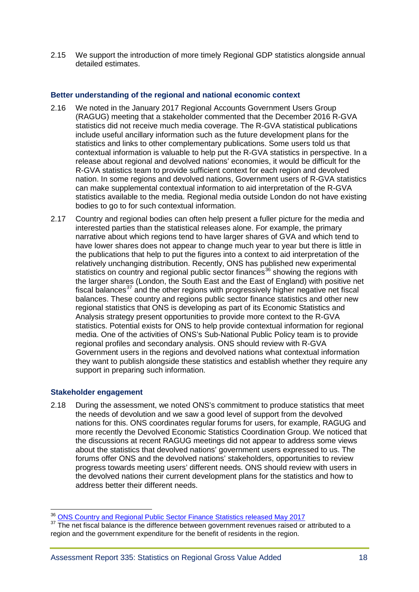2.15 We support the introduction of more timely Regional GDP statistics alongside annual detailed estimates.

#### **Better understanding of the regional and national economic context**

- 2.16 We noted in the January 2017 Regional Accounts Government Users Group (RAGUG) meeting that a stakeholder commented that the December 2016 R-GVA statistics did not receive much media coverage. The R-GVA statistical publications include useful ancillary information such as the future development plans for the statistics and links to other complementary publications. Some users told us that contextual information is valuable to help put the R-GVA statistics in perspective. In a release about regional and devolved nations' economies, it would be difficult for the R-GVA statistics team to provide sufficient context for each region and devolved nation. In some regions and devolved nations, Government users of R-GVA statistics can make supplemental contextual information to aid interpretation of the R-GVA statistics available to the media. Regional media outside London do not have existing bodies to go to for such contextual information.
- 2.17 Country and regional bodies can often help present a fuller picture for the media and interested parties than the statistical releases alone. For example, the primary narrative about which regions tend to have larger shares of GVA and which tend to have lower shares does not appear to change much year to year but there is little in the publications that help to put the figures into a context to aid interpretation of the relatively unchanging distribution. Recently, ONS has published new experimental statistics on country and regional public sector finances<sup>[36](#page-17-0)</sup> showing the regions with the larger shares (London, the South East and the East of England) with positive net fiscal balances $37$  and the other regions with progressively higher negative net fiscal balances. These country and regions public sector finance statistics and other new regional statistics that ONS is developing as part of its Economic Statistics and Analysis strategy present opportunities to provide more context to the R-GVA statistics. Potential exists for ONS to help provide contextual information for regional media. One of the activities of ONS's Sub-National Public Policy team is to provide regional profiles and secondary analysis. ONS should review with R-GVA Government users in the regions and devolved nations what contextual information they want to publish alongside these statistics and establish whether they require any support in preparing such information.

#### **Stakeholder engagement**

2.18 During the assessment, we noted ONS's commitment to produce statistics that meet the needs of devolution and we saw a good level of support from the devolved nations for this. ONS coordinates regular forums for users, for example, RAGUG and more recently the Devolved Economic Statistics Coordination Group. We noticed that the discussions at recent RAGUG meetings did not appear to address some views about the statistics that devolved nations' government users expressed to us. The forums offer ONS and the devolved nations' stakeholders, opportunities to review progress towards meeting users' different needs. ONS should review with users in the devolved nations their current development plans for the statistics and how to address better their different needs.

<span id="page-17-0"></span><sup>&</sup>lt;sup>36</sup> ONS Country and Regional Public Sector Finance Statistics released May 2017

<span id="page-17-1"></span><sup>&</sup>lt;sup>37</sup> The net fiscal balance is the difference between government revenues raised or attributed to a region and the government expenditure for the benefit of residents in the region.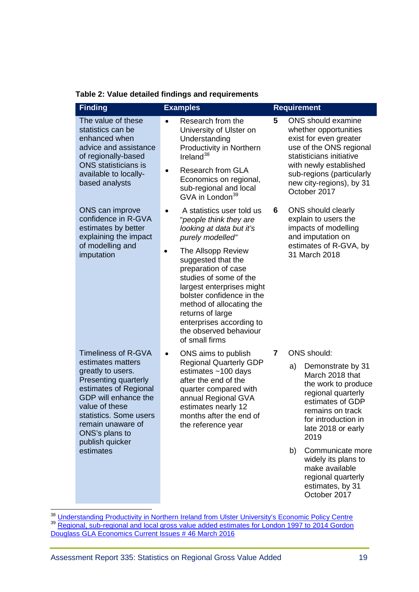| <b>Finding</b>                                                                                                                                                                                                        | <b>Examples</b>                                                                                                                                                                                                                                                                          |   | <b>Requirement</b>                                                                                                                                                                                                              |  |
|-----------------------------------------------------------------------------------------------------------------------------------------------------------------------------------------------------------------------|------------------------------------------------------------------------------------------------------------------------------------------------------------------------------------------------------------------------------------------------------------------------------------------|---|---------------------------------------------------------------------------------------------------------------------------------------------------------------------------------------------------------------------------------|--|
| The value of these<br>statistics can be<br>enhanced when<br>advice and assistance<br>of regionally-based<br><b>ONS</b> statisticians is<br>available to locally-<br>based analysts                                    | Research from the<br>$\bullet$<br>University of Ulster on<br>Understanding<br>Productivity in Northern<br>Ireland $38$<br><b>Research from GLA</b><br>$\bullet$<br>Economics on regional,<br>sub-regional and local<br>GVA in London <sup>39</sup>                                       | 5 | ONS should examine<br>whether opportunities<br>exist for even greater<br>use of the ONS regional<br>statisticians initiative<br>with newly established<br>sub-regions (particularly<br>new city-regions), by 31<br>October 2017 |  |
| ONS can improve<br>confidence in R-GVA<br>estimates by better<br>explaining the impact                                                                                                                                | A statistics user told us<br>"people think they are<br>looking at data but it's<br>purely modelled"                                                                                                                                                                                      | 6 | ONS should clearly<br>explain to users the<br>impacts of modelling<br>and imputation on                                                                                                                                         |  |
| of modelling and<br>imputation                                                                                                                                                                                        | The Allsopp Review<br>$\bullet$<br>suggested that the<br>preparation of case<br>studies of some of the<br>largest enterprises might<br>bolster confidence in the<br>method of allocating the<br>returns of large<br>enterprises according to<br>the observed behaviour<br>of small firms |   | estimates of R-GVA, by<br>31 March 2018                                                                                                                                                                                         |  |
| <b>Timeliness of R-GVA</b>                                                                                                                                                                                            | ONS aims to publish                                                                                                                                                                                                                                                                      | 7 | <b>ONS</b> should:                                                                                                                                                                                                              |  |
| estimates matters<br>greatly to users.<br>Presenting quarterly<br>estimates of Regional<br>GDP will enhance the<br>value of these<br>statistics. Some users<br>remain unaware of<br>ONS's plans to<br>publish quicker | <b>Regional Quarterly GDP</b><br>estimates $~100$ days<br>after the end of the<br>quarter compared with<br>annual Regional GVA<br>estimates nearly 12<br>months after the end of<br>the reference year                                                                                   |   | a)<br>Demonstrate by 31<br>March 2018 that<br>the work to produce<br>regional quarterly<br>estimates of GDP<br>remains on track<br>for introduction in<br>late 2018 or early<br>2019                                            |  |
| estimates                                                                                                                                                                                                             |                                                                                                                                                                                                                                                                                          |   | Communicate more<br>b)<br>widely its plans to<br>make available<br>regional quarterly<br>estimates, by 31<br>October 2017                                                                                                       |  |

**Table 2: Value detailed findings and requirements**

<span id="page-18-1"></span><span id="page-18-0"></span><sup>&</sup>lt;sup>38</sup> [Understanding Productivity in Northern Ireland from Ulster University's Economic Policy Centre](https://www.ulster.ac.uk/__data/assets/pdf_file/0008/118385/Understanding_productivity_in_Northern_Ireland_27_September_2016.pdf)<br><sup>39</sup> Regional, sub-regional and local gross value added estimates for London 1997 to 2014 Gordon [Douglass GLA Economics Current Issues # 46 March 2016](https://www.london.gov.uk/sites/default/files/current_issues_note_46.pdf)  $\overline{a}$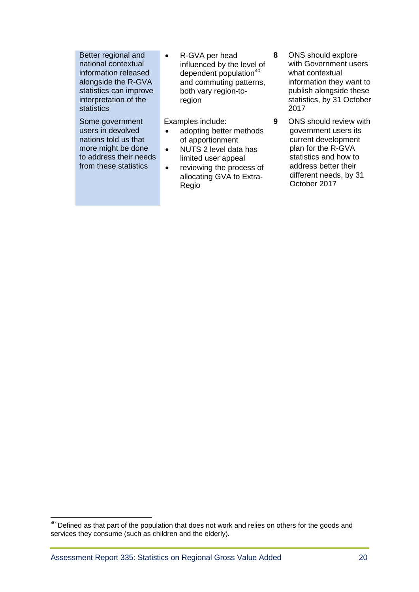Better regional and national contextual information released alongside the R-GVA statistics can improve interpretation of the statistics

Some government users in devolved nations told us that more might be done to address their needs from these statistics

• R-GVA per head influenced by the level of dependent population $40$ and commuting patterns, both vary region-toregion

Examples include:

- adopting better methods of apportionment
- NUTS 2 level data has limited user appeal
- reviewing the process of allocating GVA to Extra-Regio
- **8** ONS should explore with Government users what contextual information they want to publish alongside these statistics, by 31 October 2017
- **9** ONS should review with government users its current development plan for the R-GVA statistics and how to address better their different needs, by 31 October 2017

<span id="page-19-0"></span> $40$  Defined as that part of the population that does not work and relies on others for the goods and services they consume (such as children and the elderly).  $\overline{\phantom{a}}$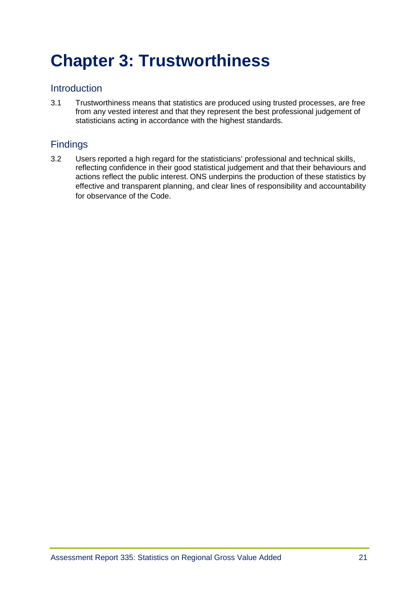# <span id="page-20-0"></span>**[Chapter 3: Trustworthiness](#page-20-0)**

# **Introduction**

3.1 Trustworthiness means that statistics are produced using trusted processes, are free from any vested interest and that they represent the best professional judgement of statisticians acting in accordance with the highest standards.

# Findings

3.2 Users reported a high regard for the statisticians' professional and technical skills, reflecting confidence in their good statistical judgement and that their behaviours and actions reflect the public interest. ONS underpins the production of these statistics by effective and transparent planning, and clear lines of responsibility and accountability for observance of the Code.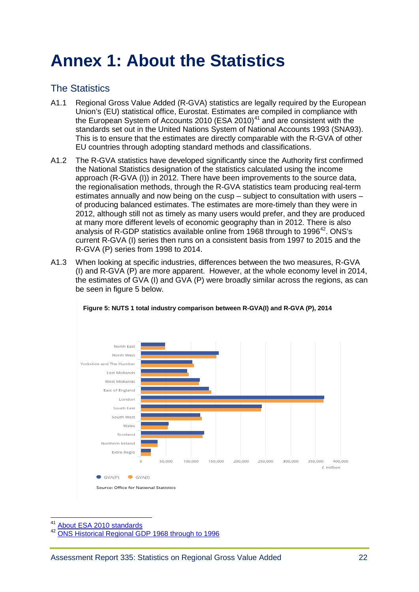# <span id="page-21-0"></span>**[Annex 1: About the Statistics](#page-21-0)**

# The Statistics

- A1.1 Regional Gross Value Added (R-GVA) statistics are legally required by the European Union's (EU) statistical office, Eurostat. Estimates are compiled in compliance with the European System of Accounts 2010 (ESA 2010)<sup>[41](#page-21-1)</sup> and are consistent with the standards set out in the United Nations System of National Accounts 1993 (SNA93). This is to ensure that the estimates are directly comparable with the R-GVA of other EU countries through adopting standard methods and classifications.
- A1.2 The R-GVA statistics have developed significantly since the Authority first confirmed the National Statistics designation of the statistics calculated using the income approach (R-GVA (I)) in 2012. There have been improvements to the source data, the regionalisation methods, through the R-GVA statistics team producing real-term estimates annually and now being on the cusp – subject to consultation with users – of producing balanced estimates. The estimates are more-timely than they were in 2012, although still not as timely as many users would prefer, and they are produced at many more different levels of economic geography than in 2012. There is also analysis of R-GDP statistics available online from 1968 through to 1996<sup>42</sup>. ONS's current R-GVA (I) series then runs on a consistent basis from 1997 to 2015 and the R-GVA (P) series from 1998 to 2014.
- A1.3 When looking at specific industries, differences between the two measures, R-GVA (I) and R-GVA (P) are more apparent. However, at the whole economy level in 2014, the estimates of GVA (I) and GVA (P) were broadly similar across the regions, as can be seen in figure 5 below.





[About ESA 2010 standards](http://ec.europa.eu/eurostat/web/esa-2010)  $\overline{\phantom{a}}$ 

<span id="page-21-2"></span><span id="page-21-1"></span>[ONS Historical Regional GDP 1968 through to 1996](https://www.ons.gov.uk/economy/grossvalueaddedgva/adhocs/005458historicalregionalgdp1968to1970and1971to1996)

Source: Office for National Statistics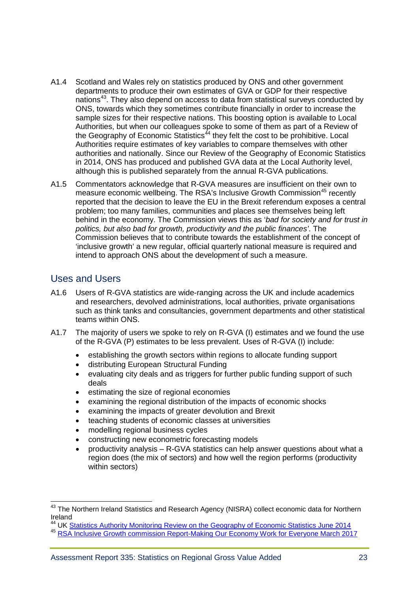- A1.4 Scotland and Wales rely on statistics produced by ONS and other government departments to produce their own estimates of GVA or GDP for their respective nations<sup>[43](#page-22-0)</sup>. They also depend on access to data from statistical surveys conducted by ONS, towards which they sometimes contribute financially in order to increase the sample sizes for their respective nations. This boosting option is available to Local Authorities, but when our colleagues spoke to some of them as part of a Review of the Geography of Economic Statistics<sup> $44$ </sup> they felt the cost to be prohibitive. Local Authorities require estimates of key variables to compare themselves with other authorities and nationally. Since our Review of the Geography of Economic Statistics in 2014, ONS has produced and published GVA data at the Local Authority level, although this is published separately from the annual R-GVA publications.
- A1.5 Commentators acknowledge that R-GVA measures are insufficient on their own to measure economic wellbeing. The RSA's Inclusive Growth Commission<sup>[45](#page-22-2)</sup> recently reported that the decision to leave the EU in the Brexit referendum exposes a central problem; too many families, communities and places see themselves being left behind in the economy. The Commission views this as '*bad for society and for trust in politics, but also bad for growth, productivity and the public finances'*. The Commission believes that to contribute towards the establishment of the concept of 'inclusive growth' a new regular, official quarterly national measure is required and intend to approach ONS about the development of such a measure.

### Uses and Users

<span id="page-22-3"></span> $\overline{\phantom{a}}$ 

- A1.6 Users of R-GVA statistics are wide-ranging across the UK and include academics and researchers, devolved administrations, local authorities, private organisations such as think tanks and consultancies, government departments and other statistical teams within ONS.
- A1.7 The majority of users we spoke to rely on R-GVA (I) estimates and we found the use of the R-GVA (P) estimates to be less prevalent. Uses of R-GVA (I) include:
	- establishing the growth sectors within regions to allocate funding support
	- distributing European Structural Funding
	- evaluating city deals and as triggers for further public funding support of such deals
	- estimating the size of regional economies
	- examining the regional distribution of the impacts of economic shocks
	- examining the impacts of greater devolution and Brexit
	- teaching students of economic classes at universities
	- modelling regional business cycles
	- constructing new econometric forecasting models
	- productivity analysis R-GVA statistics can help answer questions about what a region does (the mix of sectors) and how well the region performs (productivity within sectors)

<span id="page-22-0"></span><sup>&</sup>lt;sup>43</sup> The Northern Ireland Statistics and Research Agency (NISRA) collect economic data for Northern Ireland

<sup>&</sup>lt;sup>44</sup> UK [Statistics Authority Monitoring Review on the Geography of Economic Statistics June 2014](https://www.statisticsauthority.gov.uk/wp-content/uploads/2015/12/images-monitoringreview414thegeographyofeconomicstatisticsfinalrepor_tcm97-43839.pdf)

<span id="page-22-2"></span><span id="page-22-1"></span><sup>45</sup> [RSA Inclusive Growth commission Report-Making Our Economy Work for Everyone March 2017](https://www.thersa.org/discover/publications-and-articles/reports/final-report-of-the-inclusive-growth-commission)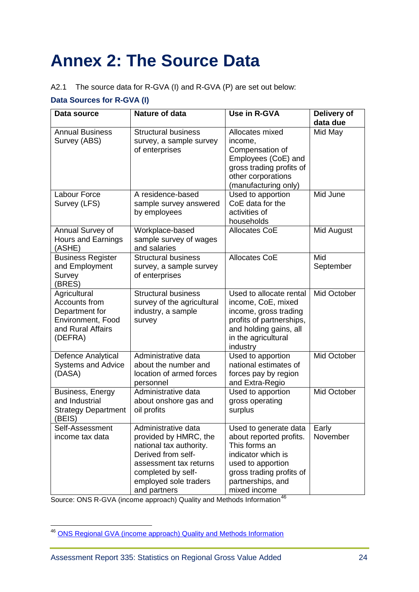# <span id="page-23-0"></span>**[Annex 2: The Source Data](#page-22-3)**

#### A2.1 The source data for R-GVA (I) and R-GVA (P) are set out below:

# **Data Sources for R-GVA (I)**

| Data source                                                                                          | Nature of data                                                                                                                                                                         | Use in R-GVA                                                                                                                                                                  | Delivery of<br>data due |
|------------------------------------------------------------------------------------------------------|----------------------------------------------------------------------------------------------------------------------------------------------------------------------------------------|-------------------------------------------------------------------------------------------------------------------------------------------------------------------------------|-------------------------|
| <b>Annual Business</b><br>Survey (ABS)                                                               | <b>Structural business</b><br>survey, a sample survey<br>of enterprises                                                                                                                | Allocates mixed<br>income,<br>Compensation of<br>Employees (CoE) and<br>gross trading profits of<br>other corporations<br>(manufacturing only)                                | Mid May                 |
| Labour Force<br>Survey (LFS)                                                                         | A residence-based<br>sample survey answered<br>by employees                                                                                                                            | Used to apportion<br>CoE data for the<br>activities of<br>households                                                                                                          | Mid June                |
| Annual Survey of<br><b>Hours and Earnings</b><br>(ASHE)                                              | Workplace-based<br>sample survey of wages<br>and salaries                                                                                                                              | <b>Allocates CoE</b>                                                                                                                                                          | Mid August              |
| <b>Business Register</b><br>and Employment<br>Survey<br>(BRES)                                       | <b>Structural business</b><br>survey, a sample survey<br>of enterprises                                                                                                                | <b>Allocates CoE</b>                                                                                                                                                          | Mid<br>September        |
| Agricultural<br>Accounts from<br>Department for<br>Environment, Food<br>and Rural Affairs<br>(DEFRA) | <b>Structural business</b><br>survey of the agricultural<br>industry, a sample<br>survey                                                                                               | Used to allocate rental<br>income, CoE, mixed<br>income, gross trading<br>profits of partnerships,<br>and holding gains, all<br>in the agricultural<br>industry               | Mid October             |
| Defence Analytical<br><b>Systems and Advice</b><br>(DASA)                                            | Administrative data<br>about the number and<br>location of armed forces<br>personnel                                                                                                   | Used to apportion<br>national estimates of<br>forces pay by region<br>and Extra-Regio                                                                                         | Mid October             |
| Business, Energy<br>and Industrial<br><b>Strategy Department</b><br>(BEIS)                           | Administrative data<br>about onshore gas and<br>oil profits                                                                                                                            | Used to apportion<br>gross operating<br>surplus                                                                                                                               | Mid October             |
| Self-Assessment<br>income tax data                                                                   | Administrative data<br>provided by HMRC, the<br>national tax authority.<br>Derived from self-<br>assessment tax returns<br>completed by self-<br>employed sole traders<br>and partners | Used to generate data<br>about reported profits.<br>This forms an<br>indicator which is<br>used to apportion<br>gross trading profits of<br>partnerships, and<br>mixed income | Early<br>November       |

Source: ONS R-GVA (income approach) Quality and Methods Information<sup>[46](#page-23-1)</sup>

<span id="page-23-1"></span><sup>&</sup>lt;sup>46</sup> [ONS Regional GVA \(income approach\) Quality](https://www.ons.gov.uk/economy/grossvalueaddedgva/qmis/regionalgrossvalueaddedincomeapproachqmi) and Methods Information  $\overline{\phantom{a}}$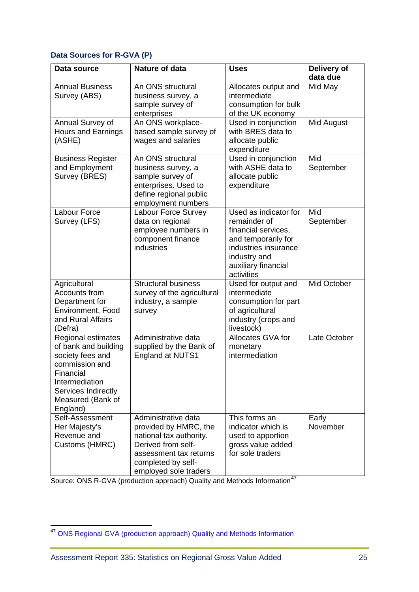### **Data Sources for R-GVA (P)**

| Data source                                                                                                                                                             | <b>Nature of data</b>                                                                                                                                                  | <b>Uses</b>                                                                                                                                                      | Delivery of<br>data due |
|-------------------------------------------------------------------------------------------------------------------------------------------------------------------------|------------------------------------------------------------------------------------------------------------------------------------------------------------------------|------------------------------------------------------------------------------------------------------------------------------------------------------------------|-------------------------|
| <b>Annual Business</b><br>Survey (ABS)                                                                                                                                  | An ONS structural<br>business survey, a<br>sample survey of<br>enterprises                                                                                             | Allocates output and<br>intermediate<br>consumption for bulk<br>of the UK economy                                                                                | Mid May                 |
| Annual Survey of<br><b>Hours and Earnings</b><br>(ASHE)                                                                                                                 | An ONS workplace-<br>based sample survey of<br>wages and salaries                                                                                                      | Used in conjunction<br>with BRES data to<br>allocate public<br>expenditure                                                                                       | Mid August              |
| <b>Business Register</b><br>and Employment<br>Survey (BRES)                                                                                                             | An ONS structural<br>business survey, a<br>sample survey of<br>enterprises. Used to<br>define regional public<br>employment numbers                                    | Used in conjunction<br>with ASHE data to<br>allocate public<br>expenditure                                                                                       | Mid<br>September        |
| <b>Labour Force</b><br>Survey (LFS)                                                                                                                                     | Labour Force Survey<br>data on regional<br>employee numbers in<br>component finance<br>industries                                                                      | Used as indicator for<br>remainder of<br>financial services,<br>and temporarily for<br>industries insurance<br>industry and<br>auxiliary financial<br>activities | Mid<br>September        |
| Agricultural<br>Accounts from<br>Department for<br>Environment, Food<br>and Rural Affairs<br>(Defra)                                                                    | <b>Structural business</b><br>survey of the agricultural<br>industry, a sample<br>survey                                                                               | Used for output and<br>intermediate<br>consumption for part<br>of agricultural<br>industry (crops and<br>livestock)                                              | Mid October             |
| Regional estimates<br>of bank and building<br>society fees and<br>commission and<br>Financial<br>Intermediation<br>Services Indirectly<br>Measured (Bank of<br>England) | Administrative data<br>supplied by the Bank of<br><b>England at NUTS1</b>                                                                                              | Allocates GVA for<br>monetary<br>intermediation                                                                                                                  | Late October            |
| Self-Assessment<br>Her Majesty's<br>Revenue and<br>Customs (HMRC)                                                                                                       | Administrative data<br>provided by HMRC, the<br>national tax authority.<br>Derived from self-<br>assessment tax returns<br>completed by self-<br>employed sole traders | This forms an<br>indicator which is<br>used to apportion<br>gross value added<br>for sole traders                                                                | Early<br>November       |

Source: ONS R-GVA (production approach) Quality and Methods Information<sup>[47](#page-24-0)</sup>

<span id="page-24-0"></span><sup>&</sup>lt;sup>47</sup> [ONS Regional GVA \(production approach\) Quality and Methods Information](https://www.ons.gov.uk/economy/grossvalueaddedgva/qmis/regionalgrossvalueaddedproductionapproachqmi)  $\overline{\phantom{a}}$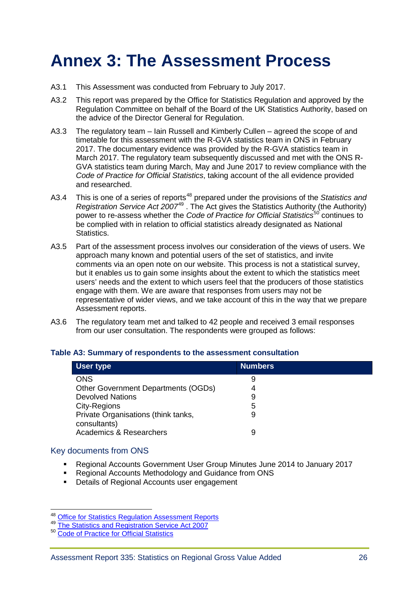# <span id="page-25-0"></span>**[Annex 3: The Assessment Process](#page-25-0)**

- A3.1 This Assessment was conducted from February to July 2017.
- A3.2 This report was prepared by the Office for Statistics Regulation and approved by the Regulation Committee on behalf of the Board of the UK Statistics Authority, based on the advice of the Director General for Regulation.
- A3.3 The regulatory team Iain Russell and Kimberly Cullen agreed the scope of and timetable for this assessment with the R-GVA statistics team in ONS in February 2017. The documentary evidence was provided by the R-GVA statistics team in March 2017. The regulatory team subsequently discussed and met with the ONS R-GVA statistics team during March, May and June 2017 to review compliance with the *Code of Practice for Official Statistics*, taking account of the all evidence provided and researched.
- A3.4 This is one of a series of reports<sup>[48](#page-25-1)</sup> prepared under the provisions of the *Statistics and Registration Service Act 2007*[49](#page-25-2) . The Act gives the Statistics Authority (the Authority) power to re-assess whether the *Code of Practice for Official Statistics*[50](#page-25-3) continues to be complied with in relation to official statistics already designated as National Statistics.
- A3.5 Part of the assessment process involves our consideration of the views of users. We approach many known and potential users of the set of statistics, and invite comments via an open note on our website. This process is not a statistical survey, but it enables us to gain some insights about the extent to which the statistics meet users' needs and the extent to which users feel that the producers of those statistics engage with them. We are aware that responses from users may not be representative of wider views, and we take account of this in the way that we prepare Assessment reports.
- A3.6 The regulatory team met and talked to 42 people and received 3 email responses from our user consultation. The respondents were grouped as follows:

| User type                                           | <b>Numbers</b> |  |
|-----------------------------------------------------|----------------|--|
| <b>ONS</b>                                          | 9              |  |
| <b>Other Government Departments (OGDs)</b>          | 4              |  |
| <b>Devolved Nations</b>                             | 9              |  |
| City-Regions                                        | 5              |  |
| Private Organisations (think tanks,<br>consultants) | 9              |  |
| <b>Academics &amp; Researchers</b>                  |                |  |

#### **Table A3: Summary of respondents to the assessment consultation**

#### Key documents from ONS

- Regional Accounts Government User Group Minutes June 2014 to January 2017
- Regional Accounts Methodology and Guidance from ONS
- Details of Regional Accounts user engagement

<span id="page-25-1"></span><sup>&</sup>lt;sup>48</sup> Office for Statistics Regulation Assessment Reports

<span id="page-25-2"></span><sup>49</sup> [The Statistics and Registration Service Act 2007](http://www.legislation.gov.uk/ukpga/2007/18/pdfs/ukpga_20070018_en.pdf)<br>50 [Code of Practice for Official Statistics](https://www.statisticsauthority.gov.uk/wp-content/uploads/2015/12/images-codeofpracticeforofficialstatisticsjanuary2009_tcm97-25306.pdf)

<span id="page-25-3"></span>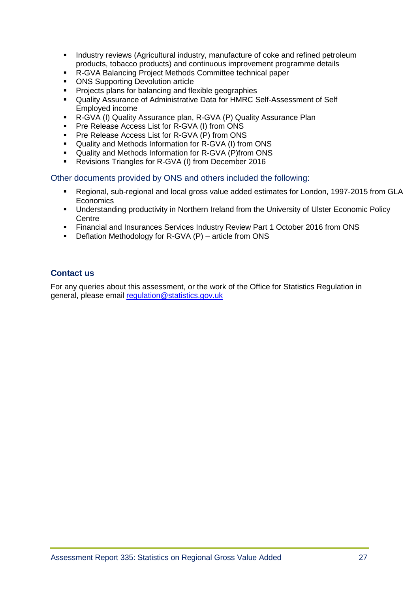- **I.** Industry reviews (Agricultural industry, manufacture of coke and refined petroleum products, tobacco products) and continuous improvement programme details
- **R-GVA Balancing Project Methods Committee technical paper**<br> **CNS Supporting Devolution article**
- ONS Supporting Devolution article
- **Projects plans for balancing and flexible geographies**
- Quality Assurance of Administrative Data for HMRC Self-Assessment of Self Employed income
- R-GVA (I) Quality Assurance plan, R-GVA (P) Quality Assurance Plan
- Pre Release Access List for R-GVA (I) from ONS
- **Pre Release Access List for R-GVA (P) from ONS**<br>**Predigent and Methods Information for R-GVA (I) from**
- Quality and Methods Information for R-GVA (I) from ONS
- Quality and Methods Information for R-GVA (P)from ONS
- Revisions Triangles for R-GVA (I) from December 2016

Other documents provided by ONS and others included the following:

- Regional, sub-regional and local gross value added estimates for London, 1997-2015 from GLA **Economics**
- Understanding productivity in Northern Ireland from the University of Ulster Economic Policy **Centre**
- Financial and Insurances Services Industry Review Part 1 October 2016 from ONS
- Deflation Methodology for R-GVA (P) article from ONS

#### **Contact us**

For any queries about this assessment, or the work of the Office for Statistics Regulation in general, please email [regulation@statistics.gov.uk](mailto:regulation@statistics.gov.uk)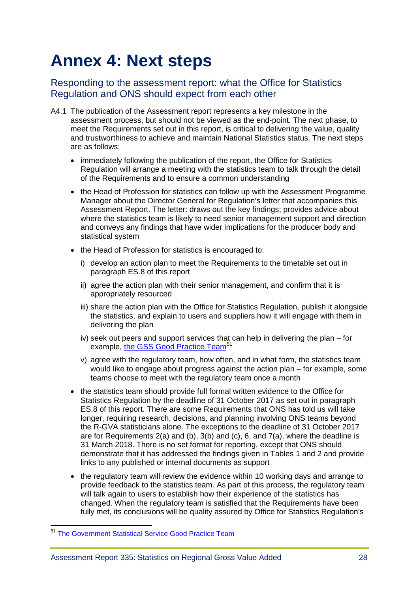# <span id="page-27-0"></span>**Annex 4: Next steps**

# Responding to the assessment report: what the Office for Statistics Regulation and ONS should expect from each other

- A4.1 The publication of the Assessment report represents a key milestone in the assessment process, but should not be viewed as the end-point. The next phase, to meet the Requirements set out in this report, is critical to delivering the value, quality and trustworthiness to achieve and maintain National Statistics status. The next steps are as follows:
	- immediately following the publication of the report, the Office for Statistics Regulation will arrange a meeting with the statistics team to talk through the detail of the Requirements and to ensure a common understanding
	- the Head of Profession for statistics can follow up with the Assessment Programme Manager about the Director General for Regulation's letter that accompanies this Assessment Report. The letter: draws out the key findings; provides advice about where the statistics team is likely to need senior management support and direction and conveys any findings that have wider implications for the producer body and statistical system
	- the Head of Profession for statistics is encouraged to:
		- i) develop an action plan to meet the Requirements to the timetable set out in paragraph ES.8 of this report
		- ii) agree the action plan with their senior management, and confirm that it is appropriately resourced
		- iii) share the action plan with the Office for Statistics Regulation, publish it alongside the statistics, and explain to users and suppliers how it will engage with them in delivering the plan
		- iv) seek out peers and support services that can help in delivering the plan for example, the GSS [Good Practice Team](https://gss.civilservice.gov.uk/national-statistician-2/gss-professional-support-team/good-practice-team/)<sup>[51](#page-27-1)</sup>
		- v) agree with the regulatory team, how often, and in what form, the statistics team would like to engage about progress against the action plan – for example, some teams choose to meet with the regulatory team once a month
	- the statistics team should provide full formal written evidence to the Office for Statistics Regulation by the deadline of 31 October 2017 as set out in paragraph ES.8 of this report. There are some Requirements that ONS has told us will take longer, requiring research, decisions, and planning involving ONS teams beyond the R-GVA statisticians alone. The exceptions to the deadline of 31 October 2017 are for Requirements  $2(a)$  and (b),  $3(b)$  and (c), 6, and  $7(a)$ , where the deadline is 31 March 2018. There is no set format for reporting, except that ONS should demonstrate that it has addressed the findings given in Tables 1 and 2 and provide links to any published or internal documents as support
	- the regulatory team will review the evidence within 10 working days and arrange to provide feedback to the statistics team. As part of this process, the regulatory team will talk again to users to establish how their experience of the statistics has changed. When the regulatory team is satisfied that the Requirements have been fully met, its conclusions will be quality assured by Office for Statistics Regulation's

<span id="page-27-1"></span><sup>&</sup>lt;sup>51</sup> [The Government Statistical Service Good Practice Team](https://gss.civilservice.gov.uk/national-statistician-2/gss-professional-support-team/good-practice-team/)  $\overline{a}$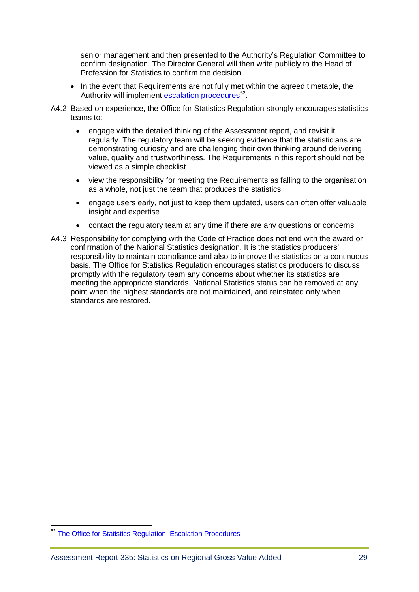senior management and then presented to the Authority's Regulation Committee to confirm designation. The Director General will then write publicly to the Head of Profession for Statistics to confirm the decision

- In the event that Requirements are not fully met within the agreed timetable, the Authority will implement [escalation procedures](https://www.statisticsauthority.gov.uk/wp-content/uploads/2010/12/images-ladderofescalationrevisedoctober201_tcm97-43536.pdf)<sup>52</sup>.
- A4.2 Based on experience, the Office for Statistics Regulation strongly encourages statistics teams to:
	- engage with the detailed thinking of the Assessment report, and revisit it regularly. The regulatory team will be seeking evidence that the statisticians are demonstrating curiosity and are challenging their own thinking around delivering value, quality and trustworthiness. The Requirements in this report should not be viewed as a simple checklist
	- view the responsibility for meeting the Requirements as falling to the organisation as a whole, not just the team that produces the statistics
	- engage users early, not just to keep them updated, users can often offer valuable insight and expertise
	- contact the regulatory team at any time if there are any questions or concerns
- A4.3 Responsibility for complying with the Code of Practice does not end with the award or confirmation of the National Statistics designation. It is the statistics producers' responsibility to maintain compliance and also to improve the statistics on a continuous basis. The Office for Statistics Regulation encourages statistics producers to discuss promptly with the regulatory team any concerns about whether its statistics are meeting the appropriate standards. National Statistics status can be removed at any point when the highest standards are not maintained, and reinstated only when standards are restored.

<span id="page-28-0"></span><sup>&</sup>lt;sup>52</sup> [The Office for Statistics Regulation Escalation Procedures](https://www.statisticsauthority.gov.uk/wp-content/uploads/2010/12/images-ladderofescalationrevisedoctober201_tcm97-43536.pdf)  $\overline{a}$